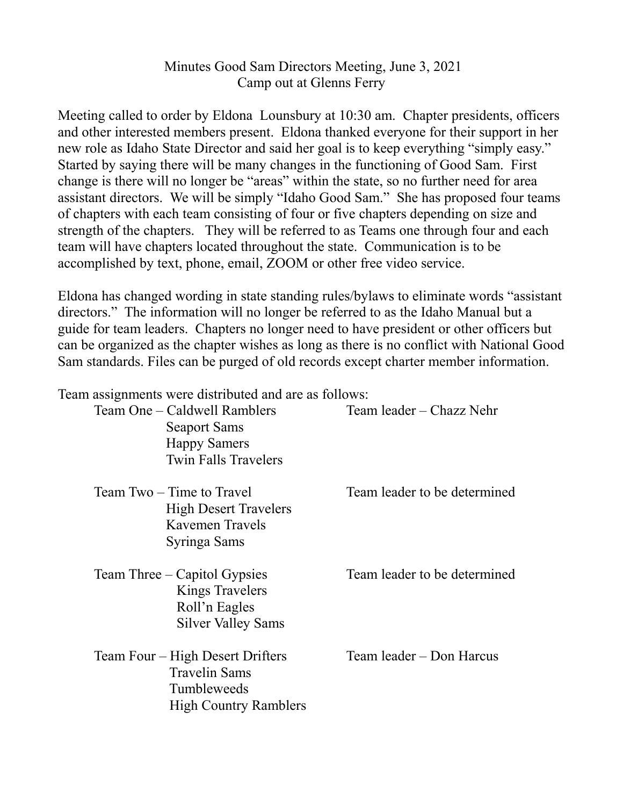## Minutes Good Sam Directors Meeting, June 3, 2021 Camp out at Glenns Ferry

Meeting called to order by Eldona Lounsbury at 10:30 am. Chapter presidents, officers and other interested members present. Eldona thanked everyone for their support in her new role as Idaho State Director and said her goal is to keep everything "simply easy." Started by saying there will be many changes in the functioning of Good Sam. First change is there will no longer be "areas" within the state, so no further need for area assistant directors. We will be simply "Idaho Good Sam." She has proposed four teams of chapters with each team consisting of four or five chapters depending on size and strength of the chapters. They will be referred to as Teams one through four and each team will have chapters located throughout the state. Communication is to be accomplished by text, phone, email, ZOOM or other free video service.

Eldona has changed wording in state standing rules/bylaws to eliminate words "assistant directors." The information will no longer be referred to as the Idaho Manual but a guide for team leaders. Chapters no longer need to have president or other officers but can be organized as the chapter wishes as long as there is no conflict with National Good Sam standards. Files can be purged of old records except charter member information.

Team assignments were distributed and are as follows:

| Team One - Caldwell Ramblers<br><b>Seaport Sams</b><br><b>Happy Samers</b><br><b>Twin Falls Travelers</b> | Team leader – Chazz Nehr     |
|-----------------------------------------------------------------------------------------------------------|------------------------------|
| Team Two – Time to Travel<br><b>High Desert Travelers</b><br>Kavemen Travels<br>Syringa Sams              | Team leader to be determined |
| Team Three – Capitol Gypsies<br><b>Kings Travelers</b><br>Roll'n Eagles<br><b>Silver Valley Sams</b>      | Team leader to be determined |
| Team Four – High Desert Drifters<br><b>Travelin Sams</b><br>Tumbleweeds<br><b>High Country Ramblers</b>   | Team leader – Don Harcus     |